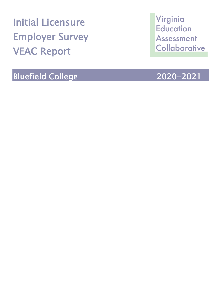Initial Licensure Employer Survey VEAC Report

Bluefield College 2020-2021

Virginia **Education** Assessment Collaborative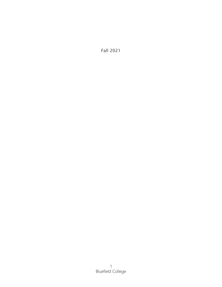Fall 2021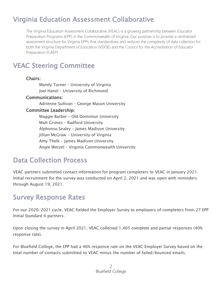# Virginia Education Assessment Collaborative

The Virginia Education Assessment Collaborative (VEAC) is a growing partnership between Educator Preparation Programs (EPP) in the Commonwealth of Virginia. Our purpose is to provide a centralized assessment structure for Virginia EPPs that standardizes and reduces the complexity of data collection for both the Virginia Department of Education (VDOE) and the Council for the Accreditation of Educator Preparation (CAEP).

## VEAC Steering Committee

### Chairs:

Mandy Turner – University of Virginia Joel Hanel – University of Richmond

### Communications:

Adrienne Sullivan – George Mason University

### Committee Leadership:

Maggie Barber – Old Dominion University Matt Grimes – Radford University Alphonso Sealey – James Madison University Jillian McGraw - University of Virginia Amy Thelk – James Madison University Angie Wetzel – Virginia Commonwealth University

### Data Collection Process

VEAC partners submitted contact information for program completers to VEAC in January 2021. Initial recruitment for the survey was conducted on April 2, 2021 and was open with reminders through August 19, 2021.

### Survey Response Rates

For our 2020-2021 cycle, VEAC fielded the Employer Survey to employers of completers from 27 EPP Initial Standard 4 partners.

Upon closing the survey in April 2021, VEAC collected 1,405 complete and partial responses (40% response rate).

For Bluefield College, the EPP had a 46% response rate on the VEAC Employer Survey based on the total number of contacts submitted to VEAC minus the number of failed/bounced emails.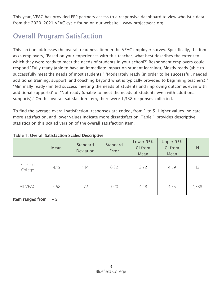This year, VEAC has provided EPP partners access to a responsive dashboard to view wholistic data from the 2020-2021 VEAC cycle found on our website – www.projectveac.org.

# Overall Program Satisfaction

This section addresses the overall readiness item in the VEAC employer survey. Specifically, the item asks employers, "Based on your experiences with this teacher, what best describes the extent to which they were ready to meet the needs of students in your school?" Respondent employers could respond "Fully ready (able to have an immediate impact on student learning), Mostly ready (able to successfully meet the needs of most students," "Moderately ready (in order to be successful, needed additional training, support, and coaching beyond what is typically provided to beginning teachers)," "Minimally ready (limited success meeting the needs of students and improving outcomes even with additional supports)" or "Not ready (unable to meet the needs of students even with additional supports)." On this overall satisfaction item, there were 1,338 responses collected.

To find the average overall satisfaction, responses are coded, from 1 to 5. Higher values indicate more satisfaction, and lower values indicate more dissatisfaction. Table 1 provides descriptive statistics on this scaled version of the overall satisfaction item.

|                      | Mean | Standard<br><b>Deviation</b> | Standard<br>Error | Lower 95%<br>CI from<br>Mean | Upper 95%<br>CI from<br>Mean | N     |
|----------------------|------|------------------------------|-------------------|------------------------------|------------------------------|-------|
| Bluefield<br>College | 4.15 | 1.14                         | 0.32              | 3.72                         | 4.59                         | 13    |
| All VEAC             | 4.52 | .72                          | .020              | 4.48                         | 4.55                         | 1,338 |

### Table 1: Overall Satisfaction Scaled Descriptive

Item ranges from  $1 - 5$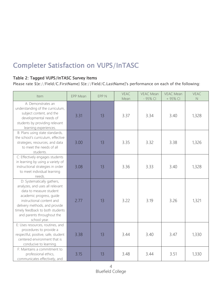# Completer Satisfaction on VUPS/InTASC

### Table 2: Tagged VUPS/InTASC Survey Items

Please rate \${e://Field/C.FirstName} \${e://Field/C.LastName}'s performance on each of the following:

| Item                                                                                                                                                                                                                                                                 | EPP Mean | EPP N | <b>VEAC</b><br>Mean | <b>VEAC Mean</b><br>$-95%$ CI | <b>VEAC Mean</b><br>+ 95% CI | VEAC<br>$\hbox{N}$ |
|----------------------------------------------------------------------------------------------------------------------------------------------------------------------------------------------------------------------------------------------------------------------|----------|-------|---------------------|-------------------------------|------------------------------|--------------------|
| A: Demonstrates an<br>understanding of the curriculum,<br>subject content, and the<br>developmental needs of<br>students by providing relevant<br>learning experiences.                                                                                              | 3.31     | 13    | 3.37                | 3.34                          | 3.40                         | 1,328              |
| B: Plans using state standards,<br>the school's curriculum, effective<br>strategies, resources, and data<br>to meet the needs of all<br>students.                                                                                                                    | 3.00     | 13    | 3.35                | 3.32                          | 3.38                         | 1,326              |
| C: Effectively engages students<br>in learning by using a variety of<br>instructional strategies in order<br>to meet individual learning<br>needs.                                                                                                                   | 3.08     | 13    | 3.36                | 3.33                          | 3.40                         | 1,328              |
| D: Systematically gathers,<br>analyzes, and uses all relevant<br>data to measure student<br>academic progress, guide<br>instructional content and<br>delivery methods, and provide<br>timely feedback to both students<br>and parents throughout the<br>school year. | 2.77     | 13    | 3.22                | 3.19                          | 3.26                         | 1,321              |
| E: Uses resources, routines, and<br>procedures to provide a<br>respectful, positive, safe, student<br>centered environment that is<br>conducive to learning.                                                                                                         | 3.38     | 13    | 3.44                | 3.40                          | 3.47                         | 1,330              |
| F: Maintains a commitment to<br>professional ethics,<br>communicates effectively, and                                                                                                                                                                                | 3.15     | 13    | 3.48                | 3.44                          | 3.51                         | 1,330              |